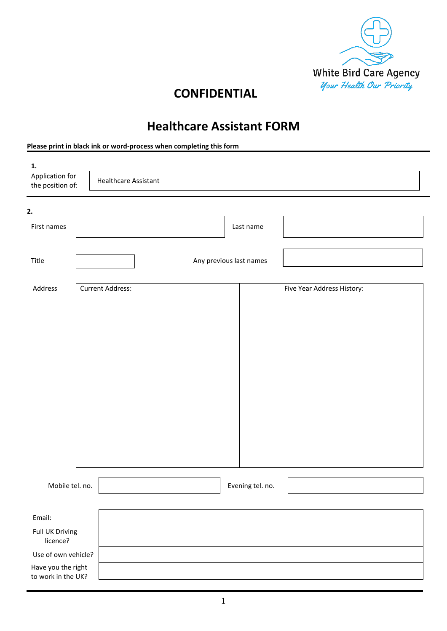

## **CONFIDENTIAL**

## **Healthcare Assistant FORM**

**Please print in black ink or word-process when completing this form**

| 1.<br>Application for<br>the position of: | <b>Healthcare Assistant</b> |                         |                            |  |  |  |  |
|-------------------------------------------|-----------------------------|-------------------------|----------------------------|--|--|--|--|
| 2.                                        |                             |                         |                            |  |  |  |  |
| First names                               |                             | Last name               |                            |  |  |  |  |
| Title                                     |                             | Any previous last names |                            |  |  |  |  |
| Address                                   | <b>Current Address:</b>     |                         | Five Year Address History: |  |  |  |  |
| Mobile tel. no.                           |                             | Evening tel. no.        |                            |  |  |  |  |
| Email:<br>Full UK Driving                 |                             |                         |                            |  |  |  |  |
| licence?<br>Use of own vehicle?           |                             |                         |                            |  |  |  |  |
| Have you the right<br>to work in the UK?  |                             |                         |                            |  |  |  |  |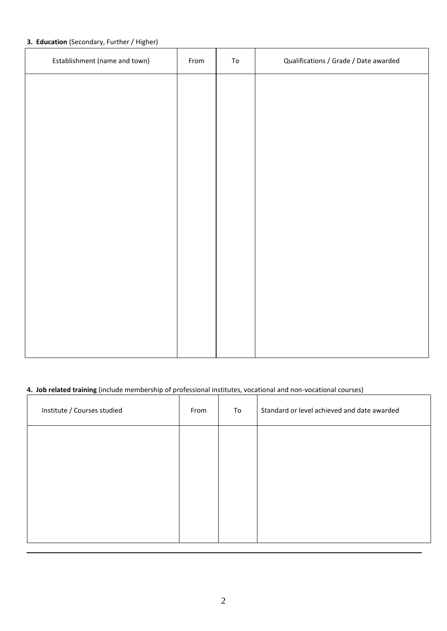#### **3. Education** (Secondary, Further / Higher)

| Establishment (name and town) | From | ${\tt To}$ | Qualifications / Grade / Date awarded |
|-------------------------------|------|------------|---------------------------------------|
|                               |      |            |                                       |
|                               |      |            |                                       |
|                               |      |            |                                       |
|                               |      |            |                                       |
|                               |      |            |                                       |
|                               |      |            |                                       |
|                               |      |            |                                       |
|                               |      |            |                                       |
|                               |      |            |                                       |
|                               |      |            |                                       |
|                               |      |            |                                       |

### **4. Job related training** (include membership of professional institutes, vocational and non-vocational courses)

| Institute / Courses studied | From | To | Standard or level achieved and date awarded |
|-----------------------------|------|----|---------------------------------------------|
|                             |      |    |                                             |
|                             |      |    |                                             |
|                             |      |    |                                             |
|                             |      |    |                                             |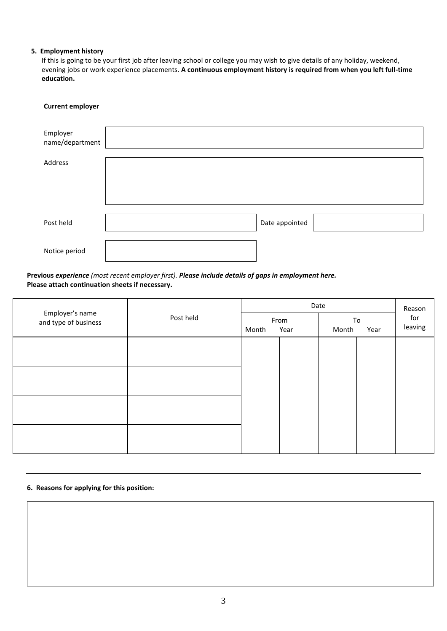#### **5. Employment history**

If this is going to be your first job after leaving school or college you may wish to give details of any holiday, weekend, evening jobs or work experience placements. **A continuous employment history is required from when you left full-time education.**

# **Current employer** Employer name/department Address Post held and Date appointed Date appointed Notice period

#### **Previous** *experience (most recent employer first). Please include details of gaps in employment here.* **Please attach continuation sheets if necessary.**

| Post held | Date  |  |              |      | Reason         |
|-----------|-------|--|--------------|------|----------------|
|           | Month |  | Month        | Year | for<br>leaving |
|           |       |  |              |      |                |
|           |       |  |              |      |                |
|           |       |  |              |      |                |
|           |       |  |              |      |                |
|           |       |  |              |      |                |
|           |       |  | From<br>Year |      | To             |

#### **6. Reasons for applying for this position:**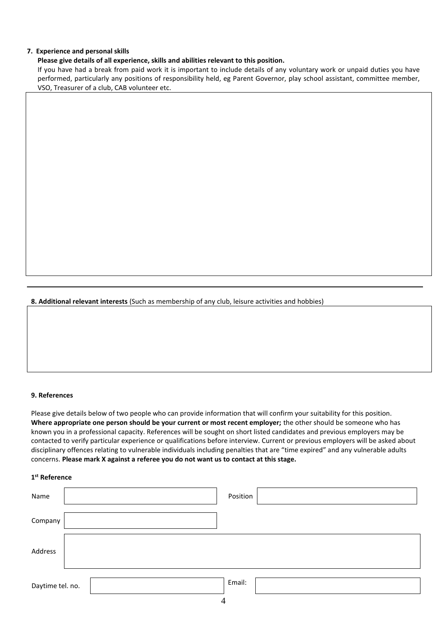#### **7. Experience and personal skills**

#### **Please give details of all experience, skills and abilities relevant to this position.**

If you have had a break from paid work it is important to include details of any voluntary work or unpaid duties you have performed, particularly any positions of responsibility held, eg Parent Governor, play school assistant, committee member, VSO, Treasurer of a club, CAB volunteer etc.

**8. Additional relevant interests** (Such as membership of any club, leisure activities and hobbies)

#### **9. References**

Please give details below of two people who can provide information that will confirm your suitability for this position. **Where appropriate one person should be your current or most recent employer;** the other should be someone who has known you in a professional capacity. References will be sought on short listed candidates and previous employers may be contacted to verify particular experience or qualifications before interview. Current or previous employers will be asked about disciplinary offences relating to vulnerable individuals including penalties that are "time expired" and any vulnerable adults concerns. **Please mark X against a referee you do not want us to contact at this stage.**

#### **1 st Reference**

| Name             | Position    |
|------------------|-------------|
| Company          |             |
| Address          |             |
| Daytime tel. no. | Email:<br>4 |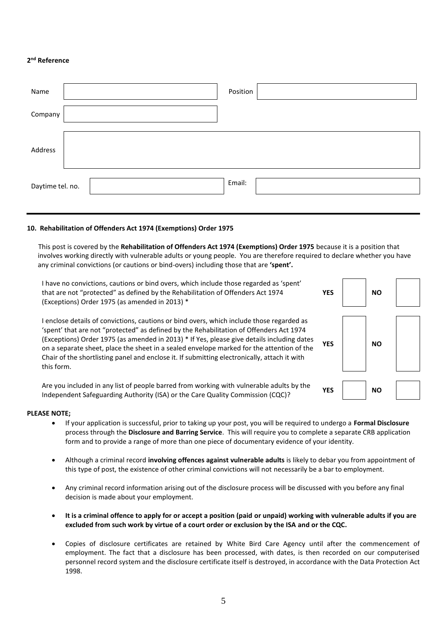#### **2 nd Reference**

| Name             | Position |
|------------------|----------|
| Company          |          |
| Address          |          |
| Daytime tel. no. | Email:   |

#### **10. Rehabilitation of Offenders Act 1974 (Exemptions) Order 1975**

This post is covered by the **Rehabilitation of Offenders Act 1974 (Exemptions) Order 1975** because it is a position that involves working directly with vulnerable adults or young people. You are therefore required to declare whether you have any criminal convictions (or cautions or bind-overs) including those that are **'spent'.**

I have no convictions, cautions or bind overs, which include those regarded as 'spent' that are not "protected" as defined by the Rehabilitation of Offenders Act 1974 (Exceptions) Order 1975 (as amended in 2013) \* YES NO

I enclose details of convictions, cautions or bind overs, which include those regarded as 'spent' that are not "protected" as defined by the Rehabilitation of Offenders Act 1974 (Exceptions) Order 1975 (as amended in 2013) \* If Yes, please give details including dates on a separate sheet, place the sheet in a sealed envelope marked for the attention of the Chair of the shortlisting panel and enclose it. If submitting electronically, attach it with this form.



Are you included in any list of people barred from working with vulnerable adults by the Independent Safeguarding Authority (ISA) or the Care Quality Commission (CQC)? **YES NO**

#### **PLEASE NOTE;**

- If your application is successful, prior to taking up your post, you will be required to undergo a **Formal Disclosure** process through the **Disclosure and Barring Service**. This will require you to complete a separate CRB application form and to provide a range of more than one piece of documentary evidence of your identity.
- Although a criminal record **involving offences against vulnerable adults** is likely to debar you from appointment of this type of post, the existence of other criminal convictions will not necessarily be a bar to employment.
- Any criminal record information arising out of the disclosure process will be discussed with you before any final decision is made about your employment.
- **It is a criminal offence to apply for or accept a position (paid or unpaid) working with vulnerable adults if you are excluded from such work by virtue of a court order or exclusion by the ISA and or the CQC.**
- Copies of disclosure certificates are retained by White Bird Care Agency until after the commencement of employment. The fact that a disclosure has been processed, with dates, is then recorded on our computerised personnel record system and the disclosure certificate itself is destroyed, in accordance with the Data Protection Act 1998.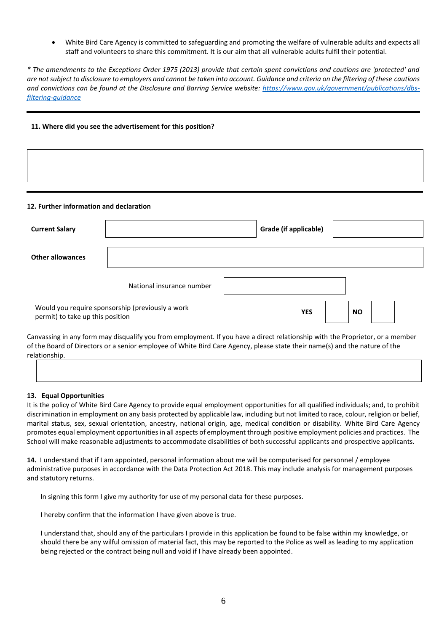• White Bird Care Agency is committed to safeguarding and promoting the welfare of vulnerable adults and expects all staff and volunteers to share this commitment. It is our aim that all vulnerable adults fulfil their potential.

*\* The amendments to the Exceptions Order 1975 (2013) provide that certain spent convictions and cautions are 'protected' and are not subject to disclosure to employers and cannot be taken into account. Guidance and criteria on the filtering of these cautions and convictions can be found at the Disclosure and Barring Service website: [https://www.gov.uk/government/publications/dbs](https://www.gov.uk/government/publications/dbs-filtering-guidance)[filtering-guidance](https://www.gov.uk/government/publications/dbs-filtering-guidance)*

#### **11. Where did you see the advertisement for this position?**

#### **12. Further information and declaration**

| <b>Current Salary</b>            |                                                  | Grade (if applicable) |           |  |
|----------------------------------|--------------------------------------------------|-----------------------|-----------|--|
| <b>Other allowances</b>          |                                                  |                       |           |  |
|                                  | National insurance number                        |                       |           |  |
| permit) to take up this position | Would you require sponsorship (previously a work | <b>YES</b>            | <b>NO</b> |  |

Canvassing in any form may disqualify you from employment. If you have a direct relationship with the Proprietor, or a member of the Board of Directors or a senior employee of White Bird Care Agency, please state their name(s) and the nature of the relationship.

#### **13. Equal Opportunities**

It is the policy of White Bird Care Agency to provide equal employment opportunities for all qualified individuals; and, to prohibit discrimination in employment on any basis protected by applicable law, including but not limited to race, colour, religion or belief, marital status, sex, sexual orientation, ancestry, national origin, age, medical condition or disability. White Bird Care Agency promotes equal employment opportunities in all aspects of employment through positive employment policies and practices. The School will make reasonable adjustments to accommodate disabilities of both successful applicants and prospective applicants.

**14.** I understand that if I am appointed, personal information about me will be computerised for personnel / employee administrative purposes in accordance with the Data Protection Act 2018. This may include analysis for management purposes and statutory returns.

In signing this form I give my authority for use of my personal data for these purposes.

I hereby confirm that the information I have given above is true.

I understand that, should any of the particulars I provide in this application be found to be false within my knowledge, or should there be any wilful omission of material fact, this may be reported to the Police as well as leading to my application being rejected or the contract being null and void if I have already been appointed.